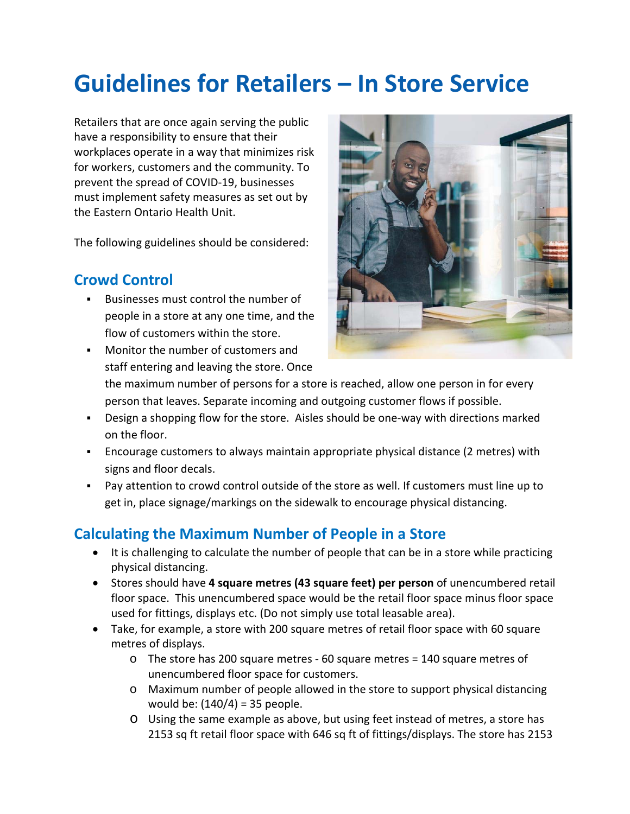# **Guidelines for Retailers – In Store Service**

Retailers that are once again serving the public have a responsibility to ensure that their workplaces operate in a way that minimizes risk for workers, customers and the community. To prevent the spread of COVID‐19, businesses must implement safety measures as set out by the Eastern Ontario Health Unit.

The following guidelines should be considered:

### **Crowd Control**

 Businesses must control the number of people in a store at any one time, and the flow of customers within the store.

Monitor the number of customers and

- 
- staff entering and leaving the store. Once the maximum number of persons for a store is reached, allow one person in for every person that leaves. Separate incoming and outgoing customer flows if possible.
- Design a shopping flow for the store. Aisles should be one-way with directions marked on the floor.
- Encourage customers to always maintain appropriate physical distance (2 metres) with signs and floor decals.
- Pay attention to crowd control outside of the store as well. If customers must line up to get in, place signage/markings on the sidewalk to encourage physical distancing.

### **Calculating the Maximum Number of People in a Store**

- It is challenging to calculate the number of people that can be in a store while practicing physical distancing.
- Stores should have **4 square metres (43 square feet) per person** of unencumbered retail floor space. This unencumbered space would be the retail floor space minus floor space used for fittings, displays etc. (Do not simply use total leasable area).
- Take, for example, a store with 200 square metres of retail floor space with 60 square metres of displays.
	- o The store has 200 square metres ‐ 60 square metres = 140 square metres of unencumbered floor space for customers.
	- o Maximum number of people allowed in the store to support physical distancing would be: (140/4) = 35 people.
	- o Using the same example as above, but using feet instead of metres, a store has 2153 sq ft retail floor space with 646 sq ft of fittings/displays. The store has 2153